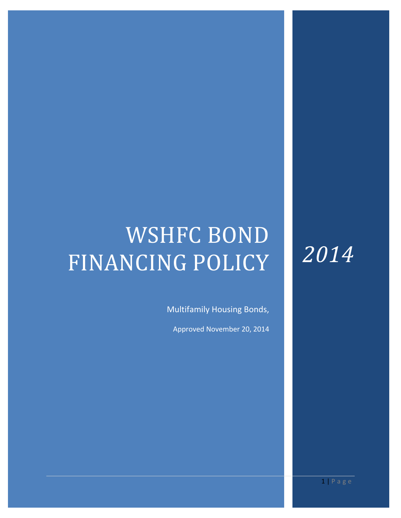# WSHFC BOND FINANCING POLICY

Multifamily Housing Bonds,

Approved November 20, 2014

*2014*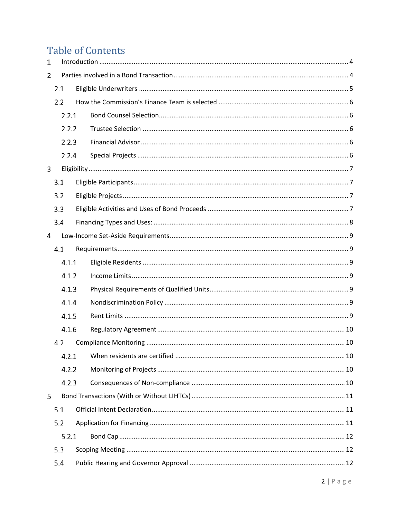# **Table of Contents**

| $\mathbf{1}$ |     |       |  |  |  |  |
|--------------|-----|-------|--|--|--|--|
| 2            |     |       |  |  |  |  |
|              | 2.1 |       |  |  |  |  |
|              | 2.2 |       |  |  |  |  |
|              |     | 2.2.1 |  |  |  |  |
|              |     | 2.2.2 |  |  |  |  |
|              |     | 2.2.3 |  |  |  |  |
|              |     | 2.2.4 |  |  |  |  |
| 3            |     |       |  |  |  |  |
|              | 3.1 |       |  |  |  |  |
|              | 3.2 |       |  |  |  |  |
|              | 3.3 |       |  |  |  |  |
|              | 3.4 |       |  |  |  |  |
| 4            |     |       |  |  |  |  |
|              | 4.1 |       |  |  |  |  |
|              |     | 4.1.1 |  |  |  |  |
|              |     | 4.1.2 |  |  |  |  |
|              |     | 4.1.3 |  |  |  |  |
|              |     | 4.1.4 |  |  |  |  |
|              |     | 4.1.5 |  |  |  |  |
|              |     | 4.1.6 |  |  |  |  |
|              | 4.2 |       |  |  |  |  |
|              |     | 4.2.1 |  |  |  |  |
|              |     | 4.2.2 |  |  |  |  |
|              |     | 4.2.3 |  |  |  |  |
| 5            |     |       |  |  |  |  |
|              | 5.1 |       |  |  |  |  |
|              | 5.2 |       |  |  |  |  |
|              |     | 5.2.1 |  |  |  |  |
|              | 5.3 |       |  |  |  |  |
|              | 5.4 |       |  |  |  |  |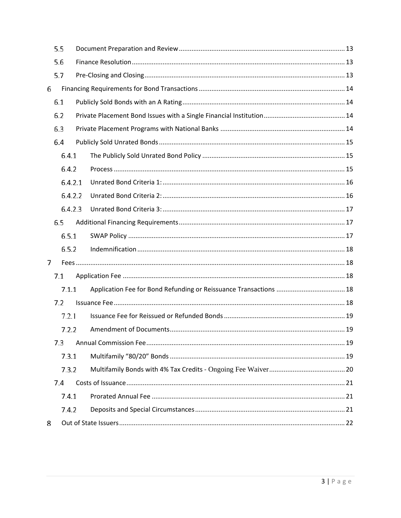|     | 5.5     |  |  |  |  |  |  |
|-----|---------|--|--|--|--|--|--|
|     | 5.6     |  |  |  |  |  |  |
|     | 5.7     |  |  |  |  |  |  |
| 6   |         |  |  |  |  |  |  |
|     | 6.1     |  |  |  |  |  |  |
|     | 6.2     |  |  |  |  |  |  |
| 6.3 |         |  |  |  |  |  |  |
|     | 6.4     |  |  |  |  |  |  |
|     | 6.4.1   |  |  |  |  |  |  |
|     | 6.4.2   |  |  |  |  |  |  |
|     | 6.4.2.1 |  |  |  |  |  |  |
|     | 6.4.2.2 |  |  |  |  |  |  |
|     | 6.4.2.3 |  |  |  |  |  |  |
|     | 6.5     |  |  |  |  |  |  |
|     | 6.5.1   |  |  |  |  |  |  |
|     | 6.5.2   |  |  |  |  |  |  |
| 7   |         |  |  |  |  |  |  |
|     | 7.1     |  |  |  |  |  |  |
|     | 7.1.1   |  |  |  |  |  |  |
|     | 7.2     |  |  |  |  |  |  |
|     | 7.2.1   |  |  |  |  |  |  |
|     | 7.2.2   |  |  |  |  |  |  |
|     | 7.3     |  |  |  |  |  |  |
|     | 7.3.1   |  |  |  |  |  |  |
|     | 7.3.2   |  |  |  |  |  |  |
|     | 7.4     |  |  |  |  |  |  |
|     | 7.4.1   |  |  |  |  |  |  |
|     | 7.4.2   |  |  |  |  |  |  |
| 8   |         |  |  |  |  |  |  |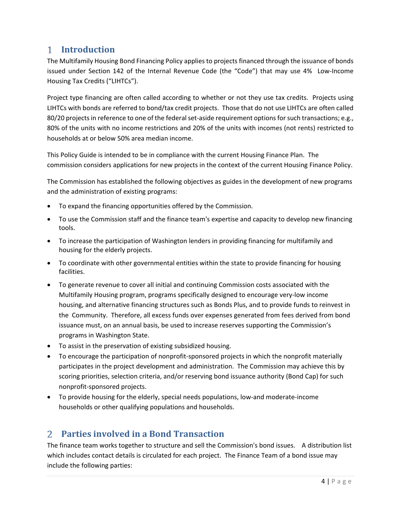# <span id="page-3-0"></span>**Introduction**

The Multifamily Housing Bond Financing Policy applies to projects financed through the issuance of bonds issued under Section 142 of the Internal Revenue Code (the "Code") that may use 4% Low-Income Housing Tax Credits ("LIHTCs").

Project type financing are often called according to whether or not they use tax credits. Projects using LIHTCs with bonds are referred to bond/tax credit projects. Those that do not use LIHTCs are often called 80/20 projects in reference to one of the federal set-aside requirement options for such transactions; e.g., 80% of the units with no income restrictions and 20% of the units with incomes (not rents) restricted to households at or below 50% area median income.

This Policy Guide is intended to be in compliance with the current Housing Finance Plan. The commission considers applications for new projects in the context of the current Housing Finance Policy.

The Commission has established the following objectives as guides in the development of new programs and the administration of existing programs:

- To expand the financing opportunities offered by the Commission.
- To use the Commission staff and the finance team's expertise and capacity to develop new financing tools.
- To increase the participation of Washington lenders in providing financing for multifamily and housing for the elderly projects.
- To coordinate with other governmental entities within the state to provide financing for housing facilities.
- To generate revenue to cover all initial and continuing Commission costs associated with the Multifamily Housing program, programs specifically designed to encourage very-low income housing, and alternative financing structures such as Bonds Plus, and to provide funds to reinvest in the Community. Therefore, all excess funds over expenses generated from fees derived from bond issuance must, on an annual basis, be used to increase reserves supporting the Commission's programs in Washington State.
- To assist in the preservation of existing subsidized housing.
- To encourage the participation of nonprofit-sponsored projects in which the nonprofit materially participates in the project development and administration. The Commission may achieve this by scoring priorities, selection criteria, and/or reserving bond issuance authority (Bond Cap) for such nonprofit-sponsored projects.
- To provide housing for the elderly, special needs populations, low-and moderate-income households or other qualifying populations and households.

# <span id="page-3-1"></span>**Parties involved in a Bond Transaction**

The finance team works together to structure and sell the Commission's bond issues. A distribution list which includes contact details is circulated for each project. The Finance Team of a bond issue may include the following parties: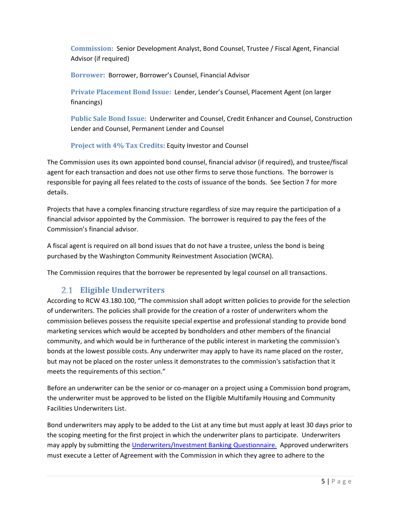**Commission:** Senior Development Analyst, Bond Counsel, Trustee / Fiscal Agent, Financial Advisor (if required)

**Borrower:** Borrower, Borrower's Counsel, Financial Advisor

**Private Placement Bond Issue:** Lender, Lender's Counsel, Placement Agent (on larger financings)

**Public Sale Bond Issue:** Underwriter and Counsel, Credit Enhancer and Counsel, Construction Lender and Counsel, Permanent Lender and Counsel

**Project with 4% Tax Credits:** Equity Investor and Counsel

The Commission uses its own appointed bond counsel, financial advisor (if required), and trustee/fiscal agent for each transaction and does not use other firms to serve those functions. The borrower is responsible for paying all fees related to the costs of issuance of the bonds. See Section 7 for more details.

Projects that have a complex financing structure regardless of size may require the participation of a financial advisor appointed by the Commission. The borrower is required to pay the fees of the Commission's financial advisor.

A fiscal agent is required on all bond issues that do not have a trustee, unless the bond is being purchased by the Washington Community Reinvestment Association (WCRA).

The Commission requires that the borrower be represented by legal counsel on all transactions.

# **Eligible Underwriters**

<span id="page-4-0"></span>According to RCW 43.180.100, "The commission shall adopt written policies to provide for the selection of underwriters. The policies shall provide for the creation of a roster of underwriters whom the commission believes possess the requisite special expertise and professional standing to provide bond marketing services which would be accepted by bondholders and other members of the financial community, and which would be in furtherance of the public interest in marketing the commission's bonds at the lowest possible costs. Any underwriter may apply to have its name placed on the roster, but may not be placed on the roster unless it demonstrates to the commission's satisfaction that it meets the requirements of this section."

Before an underwriter can be the senior or co-manager on a project using a Commission bond program, the underwriter must be approved to be listed on the Eligible Multifamily Housing and Community Facilities Underwriters List.

Bond underwriters may apply to be added to the List at any time but must apply at least 30 days prior to the scoping meeting for the first project in which the underwriter plans to participate. Underwriters may apply by submitting th[e Underwriters/Investment Banking Questionnaire.](http://www.wshfc.org/mhcf/UnderwritersQuestionnaire.pdf) Approved underwriters must execute a Letter of Agreement with the Commission in which they agree to adhere to the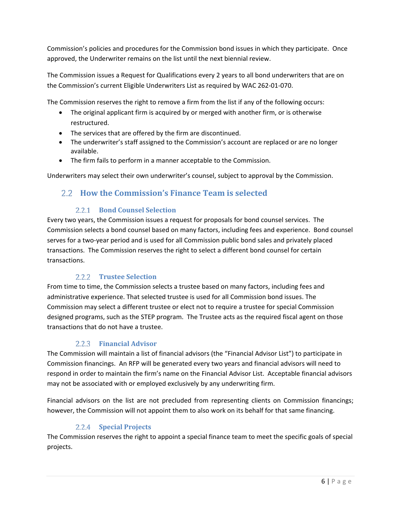Commission's policies and procedures for the Commission bond issues in which they participate. Once approved, the Underwriter remains on the list until the next biennial review.

The Commission issues a Request for Qualifications every 2 years to all bond underwriters that are on the Commission's current Eligible Underwriters List as required by WAC 262-01-070.

The Commission reserves the right to remove a firm from the list if any of the following occurs:

- The original applicant firm is acquired by or merged with another firm, or is otherwise restructured.
- The services that are offered by the firm are discontinued.
- The underwriter's staff assigned to the Commission's account are replaced or are no longer available.
- The firm fails to perform in a manner acceptable to the Commission.

Underwriters may select their own underwriter's counsel, subject to approval by the Commission.

## <span id="page-5-0"></span>**How the Commission's Finance Team is selected**

#### **Bond Counsel Selection**

<span id="page-5-1"></span>Every two years, the Commission issues a request for proposals for bond counsel services. The Commission selects a bond counsel based on many factors, including fees and experience. Bond counsel serves for a two-year period and is used for all Commission public bond sales and privately placed transactions. The Commission reserves the right to select a different bond counsel for certain transactions.

#### **Trustee Selection**

<span id="page-5-2"></span>From time to time, the Commission selects a trustee based on many factors, including fees and administrative experience. That selected trustee is used for all Commission bond issues. The Commission may select a different trustee or elect not to require a trustee for special Commission designed programs, such as the STEP program. The Trustee acts as the required fiscal agent on those transactions that do not have a trustee.

#### **Financial Advisor**

<span id="page-5-3"></span>The Commission will maintain a list of financial advisors (the "Financial Advisor List") to participate in Commission financings. An RFP will be generated every two years and financial advisors will need to respond in order to maintain the firm's name on the Financial Advisor List. Acceptable financial advisors may not be associated with or employed exclusively by any underwriting firm.

Financial advisors on the list are not precluded from representing clients on Commission financings; however, the Commission will not appoint them to also work on its behalf for that same financing.

#### **Special Projects**

<span id="page-5-4"></span>The Commission reserves the right to appoint a special finance team to meet the specific goals of special projects.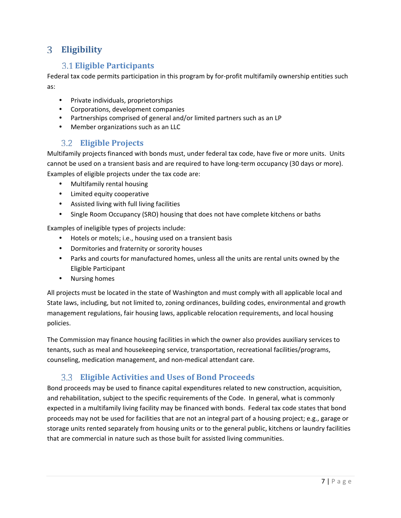# <span id="page-6-1"></span><span id="page-6-0"></span>**Eligibility**

# **Eligible Participants**

Federal tax code permits participation in this program by for-profit multifamily ownership entities such as:

- Private individuals, proprietorships
- Corporations, development companies
- Partnerships comprised of general and/or limited partners such as an LP
- Member organizations such as an LLC

# **Eligible Projects**

<span id="page-6-2"></span>Multifamily projects financed with bonds must, under federal tax code, have five or more units. Units cannot be used on a transient basis and are required to have long-term occupancy (30 days or more). Examples of eligible projects under the tax code are:

- Multifamily rental housing
- Limited equity cooperative
- Assisted living with full living facilities
- Single Room Occupancy (SRO) housing that does not have complete kitchens or baths

Examples of ineligible types of projects include:

- Hotels or motels; i.e., housing used on a transient basis
- Dormitories and fraternity or sorority houses
- Parks and courts for manufactured homes, unless all the units are rental units owned by the Eligible Participant
- Nursing homes

All projects must be located in the state of Washington and must comply with all applicable local and State laws, including, but not limited to, zoning ordinances, building codes, environmental and growth management regulations, fair housing laws, applicable relocation requirements, and local housing policies.

The Commission may finance housing facilities in which the owner also provides auxiliary services to tenants, such as meal and housekeeping service, transportation, recreational facilities/programs, counseling, medication management, and non-medical attendant care.

# **Eligible Activities and Uses of Bond Proceeds**

<span id="page-6-3"></span>Bond proceeds may be used to finance capital expenditures related to new construction, acquisition, and rehabilitation, subject to the specific requirements of the Code. In general, what is commonly expected in a multifamily living facility may be financed with bonds. Federal tax code states that bond proceeds may not be used for facilities that are not an integral part of a housing project; e.g., garage or storage units rented separately from housing units or to the general public, kitchens or laundry facilities that are commercial in nature such as those built for assisted living communities.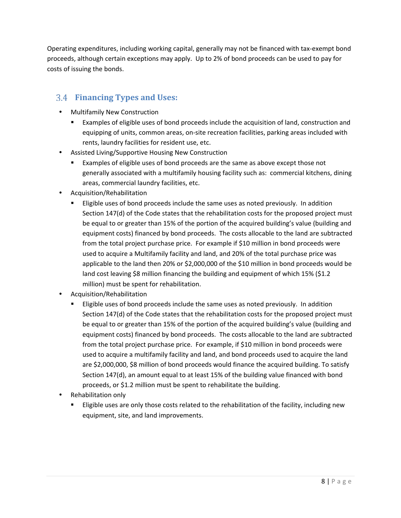Operating expenditures, including working capital, generally may not be financed with tax-exempt bond proceeds, although certain exceptions may apply. Up to 2% of bond proceeds can be used to pay for costs of issuing the bonds.

# <span id="page-7-0"></span>**Financing Types and Uses:**

- Multifamily New Construction
	- Examples of eligible uses of bond proceeds include the acquisition of land, construction and equipping of units, common areas, on-site recreation facilities, parking areas included with rents, laundry facilities for resident use, etc.
- Assisted Living/Supportive Housing New Construction
	- Examples of eligible uses of bond proceeds are the same as above except those not generally associated with a multifamily housing facility such as: commercial kitchens, dining areas, commercial laundry facilities, etc.
- Acquisition/Rehabilitation
	- Eligible uses of bond proceeds include the same uses as noted previously. In addition Section 147(d) of the Code states that the rehabilitation costs for the proposed project must be equal to or greater than 15% of the portion of the acquired building's value (building and equipment costs) financed by bond proceeds. The costs allocable to the land are subtracted from the total project purchase price. For example if \$10 million in bond proceeds were used to acquire a Multifamily facility and land, and 20% of the total purchase price was applicable to the land then 20% or \$2,000,000 of the \$10 million in bond proceeds would be land cost leaving \$8 million financing the building and equipment of which 15% (\$1.2 million) must be spent for rehabilitation.
- Acquisition/Rehabilitation
	- Eligible uses of bond proceeds include the same uses as noted previously. In addition Section 147(d) of the Code states that the rehabilitation costs for the proposed project must be equal to or greater than 15% of the portion of the acquired building's value (building and equipment costs) financed by bond proceeds. The costs allocable to the land are subtracted from the total project purchase price. For example, if \$10 million in bond proceeds were used to acquire a multifamily facility and land, and bond proceeds used to acquire the land are \$2,000,000, \$8 million of bond proceeds would finance the acquired building. To satisfy Section 147(d), an amount equal to at least 15% of the building value financed with bond proceeds, or \$1.2 million must be spent to rehabilitate the building.
- Rehabilitation only
	- Eligible uses are only those costs related to the rehabilitation of the facility, including new equipment, site, and land improvements.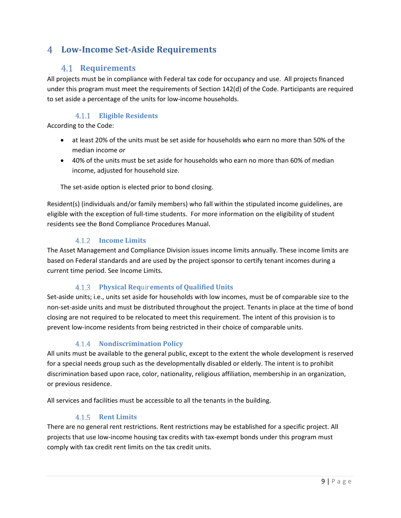# <span id="page-8-1"></span><span id="page-8-0"></span>**Low-Income Set-Aside Requirements**

# **Requirements**

All projects must be in compliance with Federal tax code for occupancy and use. All projects financed under this program must meet the requirements of Section 142(d) of the Code. Participants are required to set aside a percentage of the units for low-income households.

# **Eligible Residents**

<span id="page-8-2"></span>According to the Code:

- at least 20% of the units must be set aside for households who earn no more than 50% of the median income *or*
- 40% of the units must be set aside for households who earn no more than 60% of median income, adjusted for household size.

The set-aside option is elected prior to bond closing.

Resident(s) (individuals and/or family members) who fall within the stipulated income guidelines, are eligible with the exception of full-time students. For more information on the eligibility of student residents see the Bond Compliance Procedures Manual.

#### **Income Limits**

<span id="page-8-3"></span>The Asset Management and Compliance Division issues income limits annually. These income limits are based on Federal standards and are used by the project sponsor to certify tenant incomes during a current time period. See Income Limits.

#### **Physical Req**uir**ements of Qualified Units**

<span id="page-8-4"></span>Set-aside units; i.e., units set aside for households with low incomes, must be of comparable size to the non-set-aside units and must be distributed throughout the project. Tenants in place at the time of bond closing are not required to be relocated to meet this requirement. The intent of this provision is to prevent low-income residents from being restricted in their choice of comparable units.

#### **Nondiscrimination Policy**

<span id="page-8-5"></span>All units must be available to the general public, except to the extent the whole development is reserved for a special needs group such as the developmentally disabled or elderly. The intent is to prohibit discrimination based upon race, color, nationality, religious affiliation, membership in an organization, or previous residence.

All services and facilities must be accessible to all the tenants in the building.

#### **Rent Limits**

<span id="page-8-6"></span>There are no general rent restrictions. Rent restrictions may be established for a specific project. All projects that use low-income housing tax credits with tax-exempt bonds under this program must comply with tax credit rent limits on the tax credit units.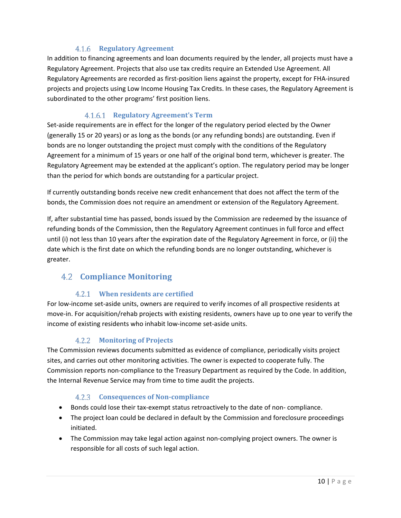## **Regulatory Agreement**

<span id="page-9-0"></span>In addition to financing agreements and loan documents required by the lender, all projects must have a Regulatory Agreement. Projects that also use tax credits require an Extended Use Agreement. All Regulatory Agreements are recorded as first-position liens against the property, except for FHA-insured projects and projects using Low Income Housing Tax Credits. In these cases, the Regulatory Agreement is subordinated to the other programs' first position liens.

#### **Regulatory Agreement's Term**

Set-aside requirements are in effect for the longer of the regulatory period elected by the Owner (generally 15 or 20 years) or as long as the bonds (or any refunding bonds) are outstanding. Even if bonds are no longer outstanding the project must comply with the conditions of the Regulatory Agreement for a minimum of 15 years or one half of the original bond term, whichever is greater. The Regulatory Agreement may be extended at the applicant's option. The regulatory period may be longer than the period for which bonds are outstanding for a particular project.

If currently outstanding bonds receive new credit enhancement that does not affect the term of the bonds, the Commission does not require an amendment or extension of the Regulatory Agreement.

If, after substantial time has passed, bonds issued by the Commission are redeemed by the issuance of refunding bonds of the Commission, then the Regulatory Agreement continues in full force and effect until (i) not less than 10 years after the expiration date of the Regulatory Agreement in force, or (ii) the date which is the first date on which the refunding bonds are no longer outstanding, whichever is greater.

# <span id="page-9-1"></span>**Compliance Monitoring**

#### **When residents are certified**

<span id="page-9-2"></span>For low-income set-aside units, owners are required to verify incomes of all prospective residents at move-in. For acquisition/rehab projects with existing residents, owners have up to one year to verify the income of existing residents who inhabit low-income set-aside units.

#### **Monitoring of Projects**

<span id="page-9-3"></span>The Commission reviews documents submitted as evidence of compliance, periodically visits project sites, and carries out other monitoring activities. The owner is expected to cooperate fully. The Commission reports non-compliance to the Treasury Department as required by the Code. In addition, the Internal Revenue Service may from time to time audit the projects.

#### **Consequences of Non-compliance**

- <span id="page-9-4"></span>• Bonds could lose their tax-exempt status retroactively to the date of non- compliance.
- The project loan could be declared in default by the Commission and foreclosure proceedings initiated.
- The Commission may take legal action against non-complying project owners. The owner is responsible for all costs of such legal action.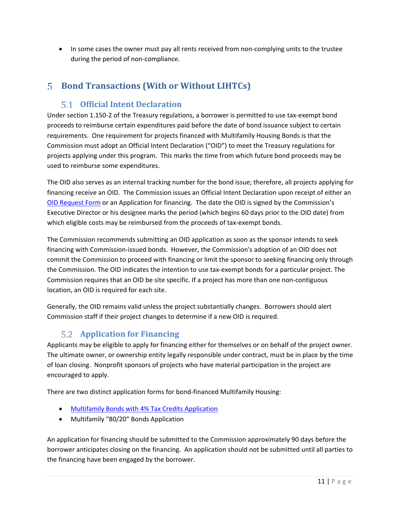• In some cases the owner must pay all rents received from non-complying units to the trustee during the period of non-compliance.

# <span id="page-10-1"></span><span id="page-10-0"></span>**Bond Transactions (With or Without LIHTCs)**

# **Official Intent Declaration**

Under section 1.150-2 of the Treasury regulations, a borrower is permitted to use tax-exempt bond proceeds to reimburse certain expenditures paid before the date of bond issuance subject to certain requirements. One requirement for projects financed with Multifamily Housing Bonds is that the Commission must adopt an Official Intent Declaration ("OID") to meet the Treasury regulations for projects applying under this program. This marks the time from which future bond proceeds may be used to reimburse some expenditures.

The OID also serves as an internal tracking number for the bond issue; therefore, all projects applying for financing receive an OID. The Commission issues an Official Intent Declaration upon receipt of either an [OID Request Form](http://www.wshfc.org/mhcf/OIDrequestform.xlsx) or an Application for financing. The date the OID is signed by the Commission's Executive Director or his designee marks the period (which begins 60 days prior to the OID date) from which eligible costs may be reimbursed from the proceeds of tax-exempt bonds.

The Commission recommends submitting an OID application as soon as the sponsor intends to seek financing with Commission-issued bonds. However, the Commission's adoption of an OID does not commit the Commission to proceed with financing or limit the sponsor to seeking financing only through the Commission. The OID indicates the intention to use tax-exempt bonds for a particular project. The Commission requires that an OID be site specific. If a project has more than one non-contiguous location, an OID is required for each site.

Generally, the OID remains valid unless the project substantially changes. Borrowers should alert Commission staff if their project changes to determine if a new OID is required.

# <span id="page-10-2"></span>**Application for Financing**

Applicants may be eligible to apply for financing either for themselves or on behalf of the project owner. The ultimate owner, or ownership entity legally responsible under contract, must be in place by the time of loan closing. Nonprofit sponsors of projects who have material participation in the project are encouraged to apply.

There are two distinct application forms for bond-financed Multifamily Housing:

- [Multifamily Bonds with 4% Tax Credits](http://www.wshfc.org/mhcf/4percent/mfhapp.htm) Application
- Multifamily "80/20" Bonds Application

An application for financing should be submitted to the Commission approximately 90 days before the borrower anticipates closing on the financing. An application should not be submitted until all parties to the financing have been engaged by the borrower.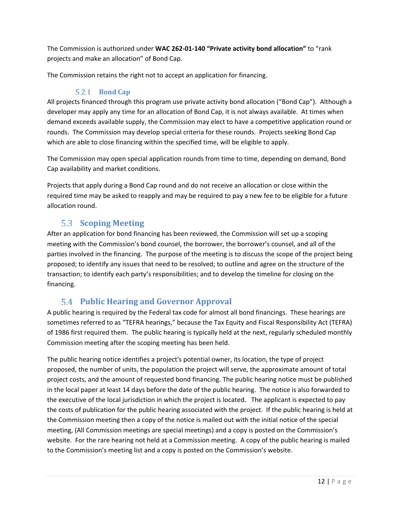The Commission is authorized under **WAC 262-01-140 "Private activity bond allocation"** to "rank projects and make an allocation" of Bond Cap.

The Commission retains the right not to accept an application for financing.

# **Bond Cap**

<span id="page-11-0"></span>All projects financed through this program use private activity bond allocation ("Bond Cap"). Although a developer may apply any time for an allocation of Bond Cap, it is not always available. At times when demand exceeds available supply, the Commission may elect to have a competitive application round or rounds. The Commission may develop special criteria for these rounds. Projects seeking Bond Cap which are able to close financing within the specified time, will be eligible to apply.

The Commission may open special application rounds from time to time, depending on demand, Bond Cap availability and market conditions.

Projects that apply during a Bond Cap round and do not receive an allocation or close within the required time may be asked to reapply and may be required to pay a new fee to be eligible for a future allocation round.

# **Scoping Meeting**

<span id="page-11-1"></span>After an application for bond financing has been reviewed, the Commission will set up a scoping meeting with the Commission's bond counsel, the borrower, the borrower's counsel, and all of the parties involved in the financing. The purpose of the meeting is to discuss the scope of the project being proposed; to identify any issues that need to be resolved; to outline and agree on the structure of the transaction; to identify each party's responsibilities; and to develop the timeline for closing on the financing.

# **Public Hearing and Governor Approval**

<span id="page-11-2"></span>A public hearing is required by the Federal tax code for almost all bond financings. These hearings are sometimes referred to as "TEFRA hearings," because the Tax Equity and Fiscal Responsibility Act (TEFRA) of 1986 first required them. The public hearing is typically held at the next, regularly scheduled monthly Commission meeting after the scoping meeting has been held.

The public hearing notice identifies a project's potential owner, its location, the type of project proposed, the number of units, the population the project will serve, the approximate amount of total project costs, and the amount of requested bond financing. The public hearing notice must be published in the local paper at least 14 days before the date of the public hearing. The notice is also forwarded to the executive of the local jurisdiction in which the project is located. The applicant is expected to pay the costs of publication for the public hearing associated with the project. If the public hearing is held at the Commission meeting then a copy of the notice is mailed out with the initial notice of the special meeting, (All Commission meetings are special meetings) and a copy is posted on the Commission's website. For the rare hearing not held at a Commission meeting. A copy of the public hearing is mailed to the Commission's meeting list and a copy is posted on the Commission's website.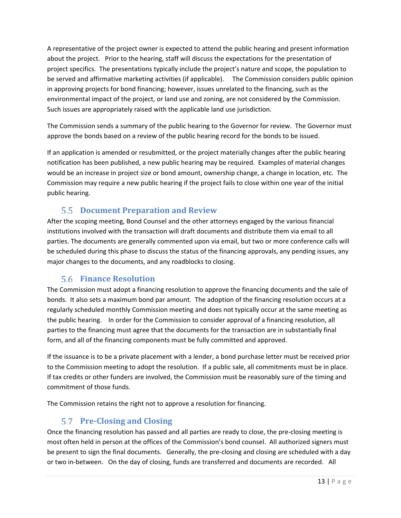A representative of the project owner is expected to attend the public hearing and present information about the project. Prior to the hearing, staff will discuss the expectations for the presentation of project specifics. The presentations typically include the project's nature and scope, the population to be served and affirmative marketing activities (if applicable). The Commission considers public opinion in approving projects for bond financing; however, issues unrelated to the financing, such as the environmental impact of the project, or land use and zoning, are not considered by the Commission. Such issues are appropriately raised with the applicable land use jurisdiction.

The Commission sends a summary of the public hearing to the Governor for review. The Governor must approve the bonds based on a review of the public hearing record for the bonds to be issued.

If an application is amended or resubmitted, or the project materially changes after the public hearing notification has been published, a new public hearing may be required. Examples of material changes would be an increase in project size or bond amount, ownership change, a change in location, etc. The Commission may require a new public hearing if the project fails to close within one year of the initial public hearing.

# **Document Preparation and Review**

<span id="page-12-0"></span>After the scoping meeting, Bond Counsel and the other attorneys engaged by the various financial institutions involved with the transaction will draft documents and distribute them via email to all parties. The documents are generally commented upon via email, but two or more conference calls will be scheduled during this phase to discuss the status of the financing approvals, any pending issues, any major changes to the documents, and any roadblocks to closing.

# **Finance Resolution**

<span id="page-12-1"></span>The Commission must adopt a financing resolution to approve the financing documents and the sale of bonds. It also sets a maximum bond par amount. The adoption of the financing resolution occurs at a regularly scheduled monthly Commission meeting and does not typically occur at the same meeting as the public hearing. In order for the Commission to consider approval of a financing resolution, all parties to the financing must agree that the documents for the transaction are in substantially final form, and all of the financing components must be fully committed and approved.

If the issuance is to be a private placement with a lender, a bond purchase letter must be received prior to the Commission meeting to adopt the resolution. If a public sale, all commitments must be in place. If tax credits or other funders are involved, the Commission must be reasonably sure of the timing and commitment of those funds.

The Commission retains the right not to approve a resolution for financing.

# **Pre-Closing and Closing**

<span id="page-12-2"></span>Once the financing resolution has passed and all parties are ready to close, the pre-closing meeting is most often held in person at the offices of the Commission's bond counsel. All authorized signers must be present to sign the final documents. Generally, the pre-closing and closing are scheduled with a day or two in-between. On the day of closing, funds are transferred and documents are recorded. All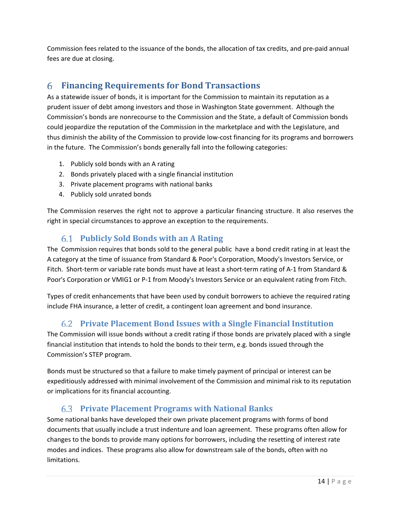Commission fees related to the issuance of the bonds, the allocation of tax credits, and pre-paid annual fees are due at closing.

# <span id="page-13-0"></span>**Financing Requirements for Bond Transactions**

As a statewide issuer of bonds, it is important for the Commission to maintain its reputation as a prudent issuer of debt among investors and those in Washington State government. Although the Commission's bonds are nonrecourse to the Commission and the State, a default of Commission bonds could jeopardize the reputation of the Commission in the marketplace and with the Legislature, and thus diminish the ability of the Commission to provide low-cost financing for its programs and borrowers in the future. The Commission's bonds generally fall into the following categories:

- 1. Publicly sold bonds with an A rating
- 2. Bonds privately placed with a single financial institution
- 3. Private placement programs with national banks
- 4. Publicly sold unrated bonds

The Commission reserves the right not to approve a particular financing structure. It also reserves the right in special circumstances to approve an exception to the requirements.

# **Publicly Sold Bonds with an A Rating**

<span id="page-13-1"></span>The Commission requires that bonds sold to the general public have a bond credit rating in at least the A category at the time of issuance from Standard & Poor's Corporation, Moody's Investors Service, or Fitch. Short-term or variable rate bonds must have at least a short-term rating of A-1 from Standard & Poor's Corporation or VMIG1 or P-1 from Moody's Investors Service or an equivalent rating from Fitch.

Types of credit enhancements that have been used by conduit borrowers to achieve the required rating include FHA insurance, a letter of credit, a contingent loan agreement and bond insurance.

# **Private Placement Bond Issues with a Single Financial Institution**

<span id="page-13-2"></span>The Commission will issue bonds without a credit rating if those bonds are privately placed with a single financial institution that intends to hold the bonds to their term, e.g. bonds issued through the Commission's STEP program.

Bonds must be structured so that a failure to make timely payment of principal or interest can be expeditiously addressed with minimal involvement of the Commission and minimal risk to its reputation or implications for its financial accounting.

# **Private Placement Programs with National Banks**

<span id="page-13-3"></span>Some national banks have developed their own private placement programs with forms of bond documents that usually include a trust indenture and loan agreement. These programs often allow for changes to the bonds to provide many options for borrowers, including the resetting of interest rate modes and indices. These programs also allow for downstream sale of the bonds, often with no limitations.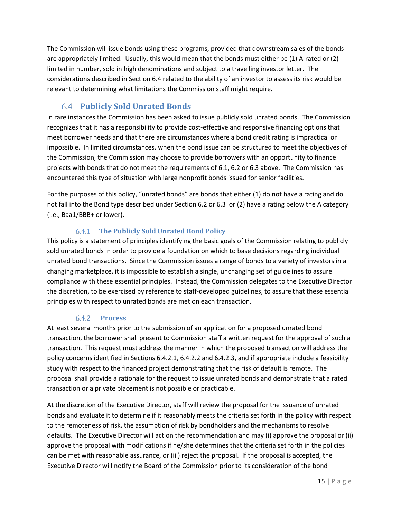The Commission will issue bonds using these programs, provided that downstream sales of the bonds are appropriately limited. Usually, this would mean that the bonds must either be (1) A-rated or (2) limited in number, sold in high denominations and subject to a travelling investor letter. The considerations described in Section 6.4 related to the ability of an investor to assess its risk would be relevant to determining what limitations the Commission staff might require.

# **Publicly Sold Unrated Bonds**

<span id="page-14-0"></span>In rare instances the Commission has been asked to issue publicly sold unrated bonds. The Commission recognizes that it has a responsibility to provide cost-effective and responsive financing options that meet borrower needs and that there are circumstances where a bond credit rating is impractical or impossible. In limited circumstances, when the bond issue can be structured to meet the objectives of the Commission, the Commission may choose to provide borrowers with an opportunity to finance projects with bonds that do not meet the requirements of [6.1,](#page-13-1) 6.2 or 6.3 above. The Commission has encountered this type of situation with large nonprofit bonds issued for senior facilities.

For the purposes of this policy, "unrated bonds" are bonds that either (1) do not have a rating and do not fall into the Bond type described under Section 6.2 or 6.3 or (2) have a rating below the A category (i.e., Baa1/BBB+ or lower).

## **The Publicly Sold Unrated Bond Policy**

<span id="page-14-1"></span>This policy is a statement of principles identifying the basic goals of the Commission relating to publicly sold unrated bonds in order to provide a foundation on which to base decisions regarding individual unrated bond transactions. Since the Commission issues a range of bonds to a variety of investors in a changing marketplace, it is impossible to establish a single, unchanging set of guidelines to assure compliance with these essential principles. Instead, the Commission delegates to the Executive Director the discretion, to be exercised by reference to staff-developed guidelines, to assure that these essential principles with respect to unrated bonds are met on each transaction.

#### <span id="page-14-2"></span> $6.4.2$ **Process**

At least several months prior to the submission of an application for a proposed unrated bond transaction, the borrower shall present to Commission staff a written request for the approval of such a transaction. This request must address the manner in which the proposed transaction will address the policy concerns identified in Sections 6.4.2.1, 6.4.2.2 and 6.4.2.3, and if appropriate include a feasibility study with respect to the financed project demonstrating that the risk of default is remote. The proposal shall provide a rationale for the request to issue unrated bonds and demonstrate that a rated transaction or a private placement is not possible or practicable.

At the discretion of the Executive Director, staff will review the proposal for the issuance of unrated bonds and evaluate it to determine if it reasonably meets the criteria set forth in the policy with respect to the remoteness of risk, the assumption of risk by bondholders and the mechanisms to resolve defaults. The Executive Director will act on the recommendation and may (i) approve the proposal or (ii) approve the proposal with modifications if he/she determines that the criteria set forth in the policies can be met with reasonable assurance, or (iii) reject the proposal. If the proposal is accepted, the Executive Director will notify the Board of the Commission prior to its consideration of the bond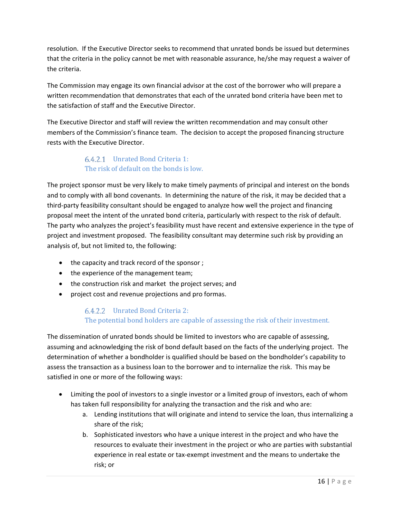resolution. If the Executive Director seeks to recommend that unrated bonds be issued but determines that the criteria in the policy cannot be met with reasonable assurance, he/she may request a waiver of the criteria.

The Commission may engage its own financial advisor at the cost of the borrower who will prepare a written recommendation that demonstrates that each of the unrated bond criteria have been met to the satisfaction of staff and the Executive Director.

The Executive Director and staff will review the written recommendation and may consult other members of the Commission's finance team. The decision to accept the proposed financing structure rests with the Executive Director.

## Unrated Bond Criteria 1: The risk of default on the bonds is low.

<span id="page-15-0"></span>The project sponsor must be very likely to make timely payments of principal and interest on the bonds and to comply with all bond covenants. In determining the nature of the risk, it may be decided that a third-party feasibility consultant should be engaged to analyze how well the project and financing proposal meet the intent of the unrated bond criteria, particularly with respect to the risk of default. The party who analyzes the project's feasibility must have recent and extensive experience in the type of project and investment proposed. The feasibility consultant may determine such risk by providing an analysis of, but not limited to, the following:

- the capacity and track record of the sponsor ;
- the experience of the management team;
- the construction risk and market the project serves; and
- <span id="page-15-1"></span>• project cost and revenue projections and pro formas.

# Unrated Bond Criteria 2: The potential bond holders are capable of assessing the risk of their investment.

The dissemination of unrated bonds should be limited to investors who are capable of assessing, assuming and acknowledging the risk of bond default based on the facts of the underlying project. The determination of whether a bondholder is qualified should be based on the bondholder's capability to assess the transaction as a business loan to the borrower and to internalize the risk. This may be satisfied in one or more of the following ways:

- Limiting the pool of investors to a single investor or a limited group of investors, each of whom has taken full responsibility for analyzing the transaction and the risk and who are:
	- a. Lending institutions that will originate and intend to service the loan, thus internalizing a share of the risk;
	- b. Sophisticated investors who have a unique interest in the project and who have the resources to evaluate their investment in the project or who are parties with substantial experience in real estate or tax-exempt investment and the means to undertake the risk; or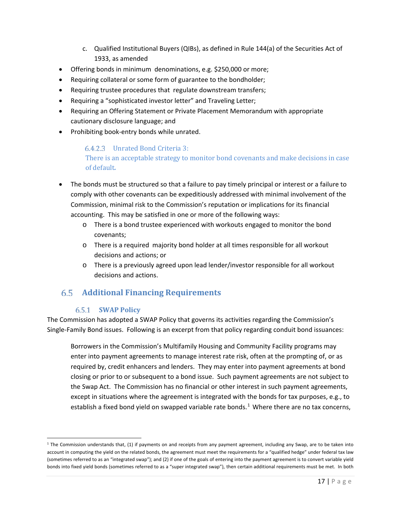- c. Qualified Institutional Buyers (QIBs), as defined in Rule 144(a) of the Securities Act of 1933, as amended
- Offering bonds in minimum denominations, e.g. \$250,000 or more;
- Requiring collateral or some form of guarantee to the bondholder;
- Requiring trustee procedures that regulate downstream transfers;
- Requiring a "sophisticated investor letter" and Traveling Letter;
- Requiring an Offering Statement or Private Placement Memorandum with appropriate cautionary disclosure language; and
- <span id="page-16-0"></span>• Prohibiting book-entry bonds while unrated.

#### Unrated Bond Criteria 3:

There is an acceptable strategy to monitor bond covenants and make decisions in case of default*.* 

- The bonds must be structured so that a failure to pay timely principal or interest or a failure to comply with other covenants can be expeditiously addressed with minimal involvement of the Commission, minimal risk to the Commission's reputation or implications for its financial accounting. This may be satisfied in one or more of the following ways:
	- o There is a bond trustee experienced with workouts engaged to monitor the bond covenants;
	- o There is a required majority bond holder at all times responsible for all workout decisions and actions; or
	- o There is a previously agreed upon lead lender/investor responsible for all workout decisions and actions.

# **Additional Financing Requirements**

#### <span id="page-16-1"></span>**SWAP Policy**

 $\overline{\phantom{a}}$ 

<span id="page-16-2"></span>The Commission has adopted a SWAP Policy that governs its activities regarding the Commission's Single-Family Bond issues. Following is an excerpt from that policy regarding conduit bond issuances:

Borrowers in the Commission's Multifamily Housing and Community Facility programs may enter into payment agreements to manage interest rate risk, often at the prompting of, or as required by, credit enhancers and lenders. They may enter into payment agreements at bond closing or prior to or subsequent to a bond issue. Such payment agreements are not subject to the Swap Act. The Commission has no financial or other interest in such payment agreements, except in situations where the agreement is integrated with the bonds for tax purposes, e.g., to establish a fixed bond yield on swapped variable rate bonds. $1$  Where there are no tax concerns,

<span id="page-16-3"></span> $1$  The Commission understands that, (1) if payments on and receipts from any payment agreement, including any Swap, are to be taken into account in computing the yield on the related bonds, the agreement must meet the requirements for a "qualified hedge" under federal tax law (sometimes referred to as an "integrated swap"); and (2) if one of the goals of entering into the payment agreement is to convert variable yield bonds into fixed yield bonds (sometimes referred to as a "super integrated swap"), then certain additional requirements must be met. In both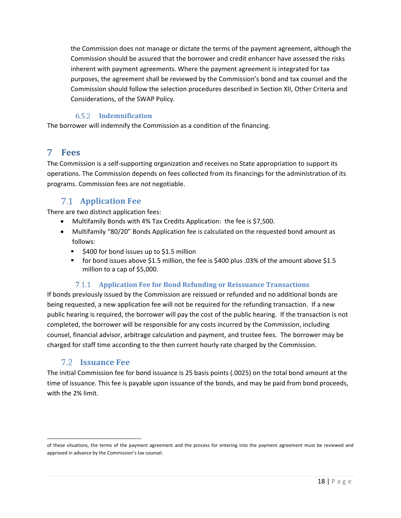the Commission does not manage or dictate the terms of the payment agreement, although the Commission should be assured that the borrower and credit enhancer have assessed the risks inherent with payment agreements. Where the payment agreement is integrated for tax purposes, the agreement shall be reviewed by the Commission's bond and tax counsel and the Commission should follow the selection procedures described in Section XII, Other Criteria and Considerations, of the SWAP Policy.

#### **Indemnification**

<span id="page-17-0"></span>The borrower will indemnify the Commission as a condition of the financing.

#### <span id="page-17-1"></span>7. **Fees**

The Commission is a self-supporting organization and receives no State appropriation to support its operations. The Commission depends on fees collected from its financings for the administration of its programs. Commission fees are *not* negotiable.

# **Application Fee**

<span id="page-17-2"></span>There are two distinct application fees:

- [Multifamily Bonds with 4% Tax Credits Application: the fee is \\$7,500.](http://www.wshfc.org/housing/mfhapp.htm)
- [Multifamily "80/20" Bonds Application](http://www.wshfc.org/housing/bondsonly/application.xls) fee is calculated on the requested bond amount as follows:
	- **5400 for bond issues up to \$1.5 million**
	- for bond issues above \$1.5 million, the fee is \$400 plus .03% of the amount above \$1.5 million to a cap of \$5,000.

#### **Application Fee for Bond Refunding or Reissuance Transactions**

<span id="page-17-3"></span>If bonds previously issued by the Commission are reissued or refunded and no additional bonds are being requested, a new application fee will not be required for the refunding transaction. If a new public hearing is required, the borrower will pay the cost of the public hearing. If the transaction is not completed, the borrower will be responsible for any costs incurred by the Commission, including counsel, financial advisor, arbitrage calculation and payment, and trustee fees. The borrower may be charged for staff time according to the then current hourly rate charged by the Commission.

# **Issuance Fee**

 $\overline{\phantom{a}}$ 

<span id="page-17-4"></span>The initial Commission fee for bond issuance is 25 basis points (.0025) on the total bond amount at the time of issuance. This fee is payable upon issuance of the bonds, and may be paid from bond proceeds, with the 2% limit.

of these situations, the terms of the payment agreement and the process for entering into the payment agreement must be reviewed and approved in advance by the Commission's tax counsel.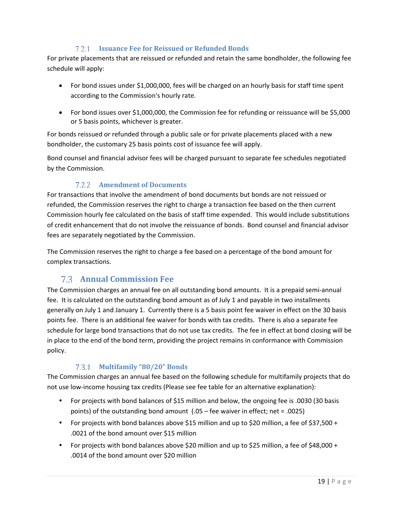## **Issuance Fee for Reissued or Refunded Bonds**

<span id="page-18-0"></span>For private placements that are reissued or refunded and retain the same bondholder, the following fee schedule will apply:

- For bond issues under \$1,000,000, fees will be charged on an hourly basis for staff time spent according to the Commission's hourly rate.
- For bond issues over \$1,000,000, the Commission fee for refunding or reissuance will be \$5,000 or 5 basis points, whichever is greater.

For bonds reissued or refunded through a public sale or for private placements placed with a new bondholder, the customary 25 basis points cost of issuance fee will apply.

Bond counsel and financial advisor fees will be charged pursuant to separate fee schedules negotiated by the Commission.

#### **Amendment of Documents**

<span id="page-18-1"></span>For transactions that involve the amendment of bond documents but bonds are not reissued or refunded, the Commission reserves the right to charge a transaction fee based on the then current Commission hourly fee calculated on the basis of staff time expended. This would include substitutions of credit enhancement that do not involve the reissuance of bonds. Bond counsel and financial advisor fees are separately negotiated by the Commission.

The Commission reserves the right to charge a fee based on a percentage of the bond amount for complex transactions.

# **Annual Commission Fee**

<span id="page-18-2"></span>The Commission charges an annual fee on all outstanding bond amounts. It is a prepaid semi-annual fee. It is calculated on the outstanding bond amount as of July 1 and payable in two installments generally on July 1 and January 1. Currently there is a 5 basis point fee waiver in effect on the 30 basis points fee. There is an additional fee waiver for bonds with tax credits. There is also a separate fee schedule for large bond transactions that do not use tax credits. The fee in effect at bond closing will be in place to the end of the bond term, providing the project remains in conformance with Commission policy.

# **Multifamily "80/20" Bonds**

<span id="page-18-3"></span>The Commission charges an annual fee based on the following schedule for multifamily projects that do not use low-income housing tax credits (Please see fee table for an alternative explanation):

- For projects with bond balances of \$15 million and below, the ongoing fee is .0030 (30 basis points) of the outstanding bond amount (.05 – fee waiver in effect; net = .0025)
- For projects with bond balances above \$15 million and up to \$20 million, a fee of \$37,500 + .0021 of the bond amount over \$15 million
- For projects with bond balances above \$20 million and up to \$25 million, a fee of \$48,000 + .0014 of the bond amount over \$20 million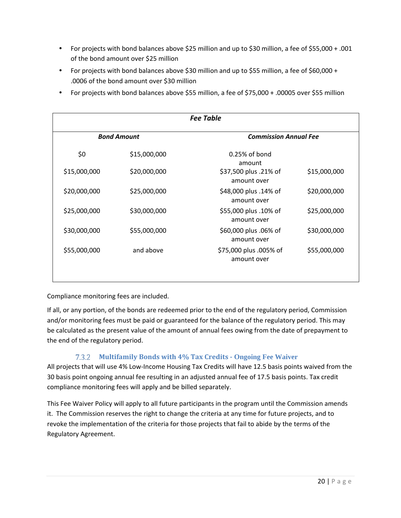- For projects with bond balances above \$25 million and up to \$30 million, a fee of \$55,000 + .001 of the bond amount over \$25 million
- For projects with bond balances above \$30 million and up to \$55 million, a fee of \$60,000 + .0006 of the bond amount over \$30 million
- For projects with bond balances above \$55 million, a fee of \$75,000 + .00005 over \$55 million

| <b>Fee Table</b> |                    |                                       |              |  |  |  |  |
|------------------|--------------------|---------------------------------------|--------------|--|--|--|--|
|                  | <b>Bond Amount</b> | <b>Commission Annual Fee</b>          |              |  |  |  |  |
| \$0              | \$15,000,000       | $0.25%$ of bond<br>amount             |              |  |  |  |  |
| \$15,000,000     | \$20,000,000       | \$37,500 plus .21% of<br>amount over  | \$15,000,000 |  |  |  |  |
| \$20,000,000     | \$25,000,000       | \$48,000 plus .14% of<br>amount over  | \$20,000,000 |  |  |  |  |
| \$25,000,000     | \$30,000,000       | \$55,000 plus .10% of<br>amount over  | \$25,000,000 |  |  |  |  |
| \$30,000,000     | \$55,000,000       | \$60,000 plus .06% of<br>amount over  | \$30,000,000 |  |  |  |  |
| \$55,000,000     | and above          | \$75,000 plus .005% of<br>amount over | \$55,000,000 |  |  |  |  |

Compliance monitoring fees are included.

If all, or any portion, of the bonds are redeemed prior to the end of the regulatory period, Commission and/or monitoring fees must be paid or guaranteed for the balance of the regulatory period. This may be calculated as the present value of the amount of annual fees owing from the date of prepayment to the end of the regulatory period.

# **Multifamily Bonds with 4% Tax Credits - Ongoing Fee Waiver**

<span id="page-19-0"></span>All projects that will use 4% Low-Income Housing Tax Credits will have 12.5 basis points waived from the 30 basis point ongoing annual fee resulting in an adjusted annual fee of 17.5 basis points. Tax credit compliance monitoring fees will apply and be billed separately.

This Fee Waiver Policy will apply to all future participants in the program until the Commission amends it. The Commission reserves the right to change the criteria at any time for future projects, and to revoke the implementation of the criteria for those projects that fail to abide by the terms of the Regulatory Agreement.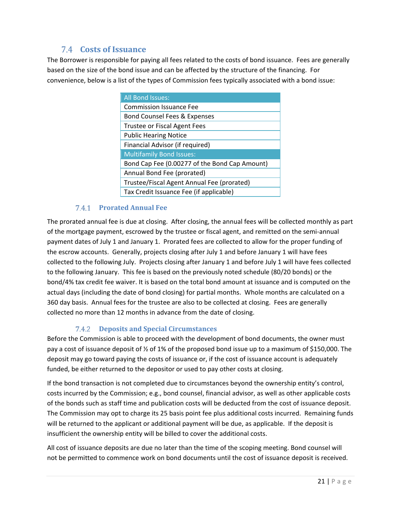# **Costs of Issuance**

<span id="page-20-0"></span>The Borrower is responsible for paying all fees related to the costs of bond issuance. Fees are generally based on the size of the bond issue and can be affected by the structure of the financing. For convenience, below is a list of the types of Commission fees typically associated with a bond issue:

| <b>All Bond Issues:</b>                       |
|-----------------------------------------------|
| <b>Commission Issuance Fee</b>                |
| Bond Counsel Fees & Expenses                  |
| <b>Trustee or Fiscal Agent Fees</b>           |
| <b>Public Hearing Notice</b>                  |
| Financial Advisor (if required)               |
| <b>Multifamily Bond Issues:</b>               |
| Bond Cap Fee (0.00277 of the Bond Cap Amount) |
| Annual Bond Fee (prorated)                    |
| Trustee/Fiscal Agent Annual Fee (prorated)    |
| Tax Credit Issuance Fee (if applicable)       |

#### **Prorated Annual Fee**

<span id="page-20-1"></span>The prorated annual fee is due at closing. After closing, the annual fees will be collected monthly as part of the mortgage payment, escrowed by the trustee or fiscal agent, and remitted on the semi-annual payment dates of July 1 and January 1. Prorated fees are collected to allow for the proper funding of the escrow accounts. Generally, projects closing after July 1 and before January 1 will have fees collected to the following July. Projects closing after January 1 and before July 1 will have fees collected to the following January. This fee is based on the previously noted schedule (80/20 bonds) or the bond/4% tax credit fee waiver. It is based on the total bond amount at issuance and is computed on the actual days (including the date of bond closing) for partial months. Whole months are calculated on a 360 day basis. Annual fees for the trustee are also to be collected at closing. Fees are generally collected no more than 12 months in advance from the date of closing.

#### **Deposits and Special Circumstances**

<span id="page-20-2"></span>Before the Commission is able to proceed with the development of bond documents, the owner must pay a cost of issuance deposit of ½ of 1% of the proposed bond issue up to a maximum of \$150,000. The deposit may go toward paying the costs of issuance or, if the cost of issuance account is adequately funded, be either returned to the depositor or used to pay other costs at closing.

If the bond transaction is not completed due to circumstances beyond the ownership entity's control, costs incurred by the Commission; e.g., bond counsel, financial advisor, as well as other applicable costs of the bonds such as staff time and publication costs will be deducted from the cost of issuance deposit. The Commission may opt to charge its 25 basis point fee plus additional costs incurred. Remaining funds will be returned to the applicant or additional payment will be due, as applicable. If the deposit is insufficient the ownership entity will be billed to cover the additional costs.

All cost of issuance deposits are due no later than the time of the scoping meeting. Bond counsel will not be permitted to commence work on bond documents until the cost of issuance deposit is received.